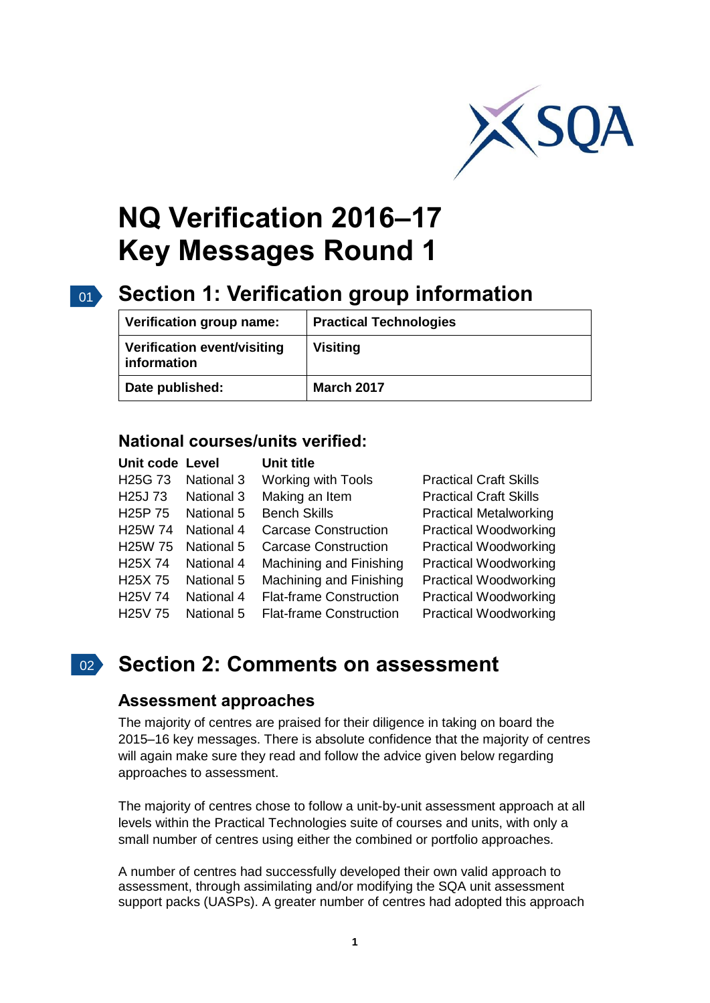

# **NQ Verification 2016–17 Key Messages Round 1**

#### $01$ **Section 1: Verification group information**

| Verification group name:                   | <b>Practical Technologies</b> |
|--------------------------------------------|-------------------------------|
| Verification event/visiting<br>information | <b>Visiting</b>               |
| Date published:                            | <b>March 2017</b>             |

# **National courses/units verified:**

| Unit code Level      |                   | <b>Unit title</b>              |                               |
|----------------------|-------------------|--------------------------------|-------------------------------|
| H <sub>25</sub> G 73 | <b>National 3</b> | <b>Working with Tools</b>      | <b>Practical Craft Skills</b> |
| H <sub>25</sub> J 73 | <b>National 3</b> | Making an Item                 | <b>Practical Craft Skills</b> |
| H <sub>25</sub> P 75 | <b>National 5</b> | <b>Bench Skills</b>            | <b>Practical Metalworking</b> |
| H <sub>25</sub> W 74 | <b>National 4</b> | <b>Carcase Construction</b>    | <b>Practical Woodworking</b>  |
| H <sub>25</sub> W 75 | National 5        | <b>Carcase Construction</b>    | <b>Practical Woodworking</b>  |
| H <sub>25</sub> X 74 | <b>National 4</b> | Machining and Finishing        | <b>Practical Woodworking</b>  |
| H <sub>25</sub> X 75 | National 5        | Machining and Finishing        | <b>Practical Woodworking</b>  |
| H <sub>25</sub> V 74 | National 4        | <b>Flat-frame Construction</b> | <b>Practical Woodworking</b>  |
| H <sub>25</sub> V 75 | <b>National 5</b> | <b>Flat-frame Construction</b> | <b>Practical Woodworking</b>  |

# 02 **Section 2: Comments on assessment**

## **Assessment approaches**

The majority of centres are praised for their diligence in taking on board the 2015–16 key messages. There is absolute confidence that the majority of centres will again make sure they read and follow the advice given below regarding approaches to assessment.

The majority of centres chose to follow a unit-by-unit assessment approach at all levels within the Practical Technologies suite of courses and units, with only a small number of centres using either the combined or portfolio approaches.

A number of centres had successfully developed their own valid approach to assessment, through assimilating and/or modifying the SQA unit assessment support packs (UASPs). A greater number of centres had adopted this approach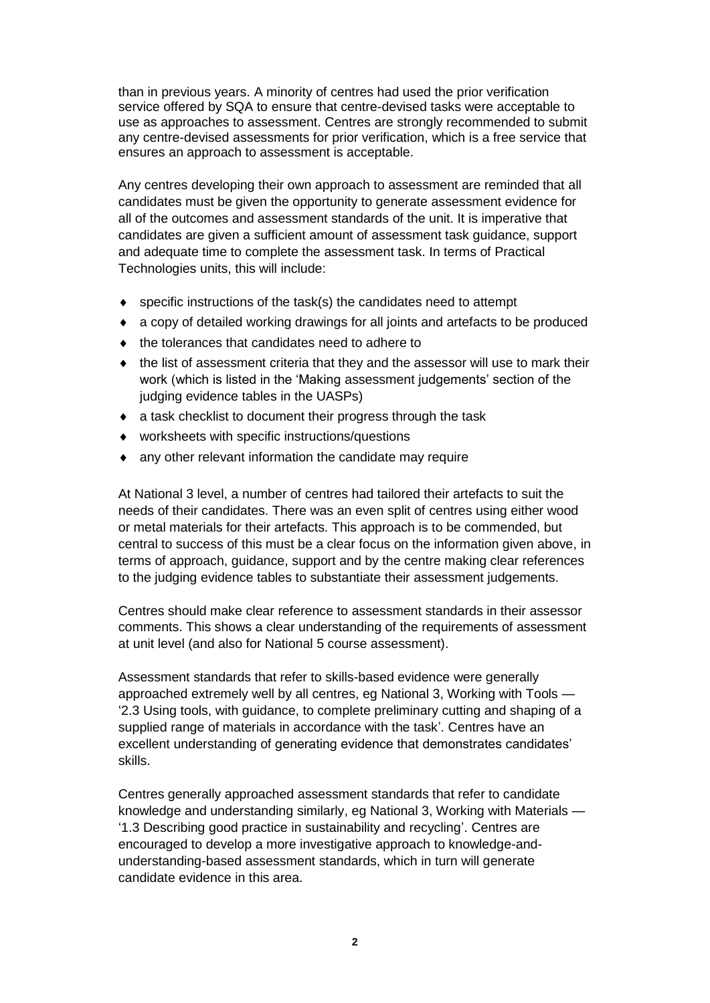than in previous years. A minority of centres had used the prior verification service offered by SQA to ensure that centre-devised tasks were acceptable to use as approaches to assessment. Centres are strongly recommended to submit any centre-devised assessments for prior verification, which is a free service that ensures an approach to assessment is acceptable.

Any centres developing their own approach to assessment are reminded that all candidates must be given the opportunity to generate assessment evidence for all of the outcomes and assessment standards of the unit. It is imperative that candidates are given a sufficient amount of assessment task guidance, support and adequate time to complete the assessment task. In terms of Practical Technologies units, this will include:

- specific instructions of the task(s) the candidates need to attempt
- a copy of detailed working drawings for all joints and artefacts to be produced
- $\bullet$  the tolerances that candidates need to adhere to
- the list of assessment criteria that they and the assessor will use to mark their work (which is listed in the 'Making assessment judgements' section of the judging evidence tables in the UASPs)
- a task checklist to document their progress through the task
- worksheets with specific instructions/questions
- any other relevant information the candidate may require

At National 3 level, a number of centres had tailored their artefacts to suit the needs of their candidates. There was an even split of centres using either wood or metal materials for their artefacts. This approach is to be commended, but central to success of this must be a clear focus on the information given above, in terms of approach, guidance, support and by the centre making clear references to the judging evidence tables to substantiate their assessment judgements.

Centres should make clear reference to assessment standards in their assessor comments. This shows a clear understanding of the requirements of assessment at unit level (and also for National 5 course assessment).

Assessment standards that refer to skills-based evidence were generally approached extremely well by all centres, eg National 3, Working with Tools — '2.3 Using tools, with guidance, to complete preliminary cutting and shaping of a supplied range of materials in accordance with the task'. Centres have an excellent understanding of generating evidence that demonstrates candidates' skills.

Centres generally approached assessment standards that refer to candidate knowledge and understanding similarly, eg National 3, Working with Materials — '1.3 Describing good practice in sustainability and recycling'. Centres are encouraged to develop a more investigative approach to knowledge-andunderstanding-based assessment standards, which in turn will generate candidate evidence in this area.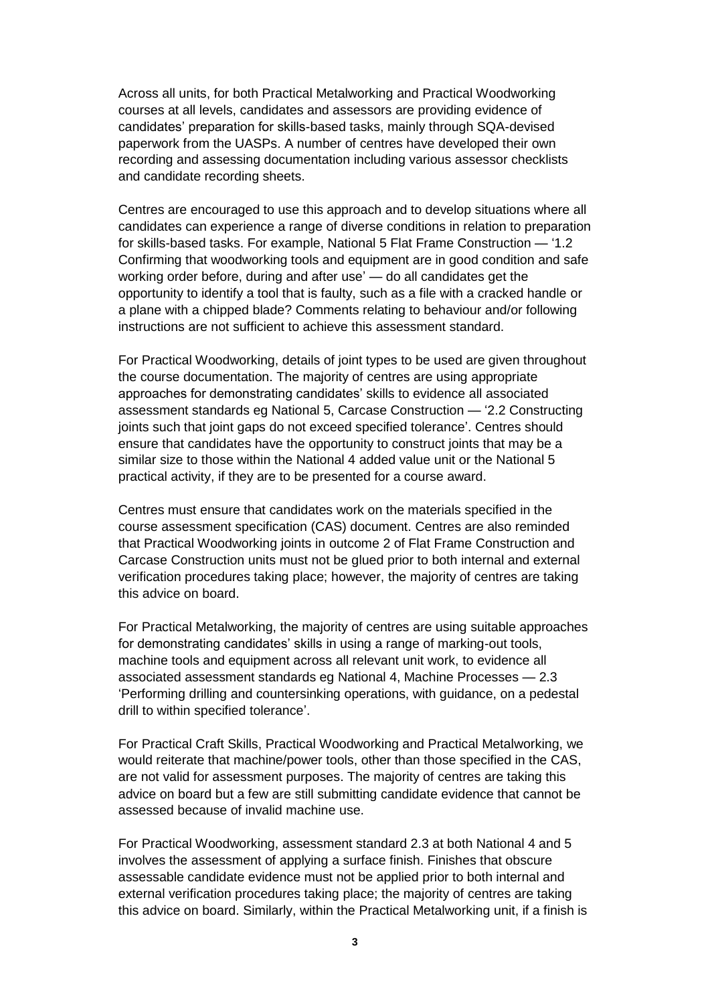Across all units, for both Practical Metalworking and Practical Woodworking courses at all levels, candidates and assessors are providing evidence of candidates' preparation for skills-based tasks, mainly through SQA-devised paperwork from the UASPs. A number of centres have developed their own recording and assessing documentation including various assessor checklists and candidate recording sheets.

Centres are encouraged to use this approach and to develop situations where all candidates can experience a range of diverse conditions in relation to preparation for skills-based tasks. For example, National 5 Flat Frame Construction — '1.2 Confirming that woodworking tools and equipment are in good condition and safe working order before, during and after use' — do all candidates get the opportunity to identify a tool that is faulty, such as a file with a cracked handle or a plane with a chipped blade? Comments relating to behaviour and/or following instructions are not sufficient to achieve this assessment standard.

For Practical Woodworking, details of joint types to be used are given throughout the course documentation. The majority of centres are using appropriate approaches for demonstrating candidates' skills to evidence all associated assessment standards eg National 5, Carcase Construction — '2.2 Constructing joints such that joint gaps do not exceed specified tolerance'. Centres should ensure that candidates have the opportunity to construct joints that may be a similar size to those within the National 4 added value unit or the National 5 practical activity, if they are to be presented for a course award.

Centres must ensure that candidates work on the materials specified in the course assessment specification (CAS) document. Centres are also reminded that Practical Woodworking joints in outcome 2 of Flat Frame Construction and Carcase Construction units must not be glued prior to both internal and external verification procedures taking place; however, the majority of centres are taking this advice on board.

For Practical Metalworking, the majority of centres are using suitable approaches for demonstrating candidates' skills in using a range of marking-out tools, machine tools and equipment across all relevant unit work, to evidence all associated assessment standards eg National 4, Machine Processes — 2.3 'Performing drilling and countersinking operations, with guidance, on a pedestal drill to within specified tolerance'.

For Practical Craft Skills, Practical Woodworking and Practical Metalworking, we would reiterate that machine/power tools, other than those specified in the CAS, are not valid for assessment purposes. The majority of centres are taking this advice on board but a few are still submitting candidate evidence that cannot be assessed because of invalid machine use.

For Practical Woodworking, assessment standard 2.3 at both National 4 and 5 involves the assessment of applying a surface finish. Finishes that obscure assessable candidate evidence must not be applied prior to both internal and external verification procedures taking place; the majority of centres are taking this advice on board. Similarly, within the Practical Metalworking unit, if a finish is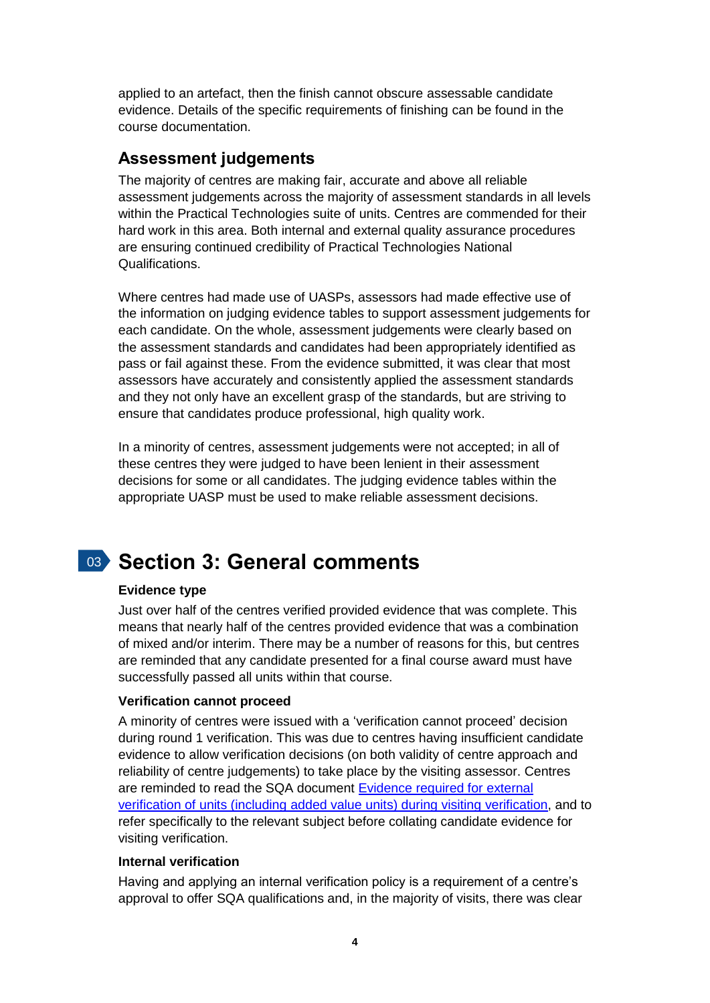applied to an artefact, then the finish cannot obscure assessable candidate evidence. Details of the specific requirements of finishing can be found in the course documentation.

## **Assessment judgements**

The majority of centres are making fair, accurate and above all reliable assessment judgements across the majority of assessment standards in all levels within the Practical Technologies suite of units. Centres are commended for their hard work in this area. Both internal and external quality assurance procedures are ensuring continued credibility of Practical Technologies National Qualifications.

Where centres had made use of UASPs, assessors had made effective use of the information on judging evidence tables to support assessment judgements for each candidate. On the whole, assessment judgements were clearly based on the assessment standards and candidates had been appropriately identified as pass or fail against these. From the evidence submitted, it was clear that most assessors have accurately and consistently applied the assessment standards and they not only have an excellent grasp of the standards, but are striving to ensure that candidates produce professional, high quality work.

In a minority of centres, assessment judgements were not accepted; in all of these centres they were judged to have been lenient in their assessment decisions for some or all candidates. The judging evidence tables within the appropriate UASP must be used to make reliable assessment decisions.

# 03 **Section 3: General comments**

### **Evidence type**

Just over half of the centres verified provided evidence that was complete. This means that nearly half of the centres provided evidence that was a combination of mixed and/or interim. There may be a number of reasons for this, but centres are reminded that any candidate presented for a final course award must have successfully passed all units within that course.

### **Verification cannot proceed**

A minority of centres were issued with a 'verification cannot proceed' decision during round 1 verification. This was due to centres having insufficient candidate evidence to allow verification decisions (on both validity of centre approach and reliability of centre judgements) to take place by the visiting assessor. Centres are reminded to read the SQA document [Evidence required for external](http://www.sqa.org.uk/files_ccc/Evidence_required_for_visitingverification.pdf)  [verification of units \(including added](http://www.sqa.org.uk/files_ccc/Evidence_required_for_visitingverification.pdf) value units) during visiting verification, and to refer specifically to the relevant subject before collating candidate evidence for visiting verification.

#### **Internal verification**

Having and applying an internal verification policy is a requirement of a centre's approval to offer SQA qualifications and, in the majority of visits, there was clear